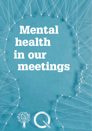Mental in our meetings health

 $\sim$  Mono - Mono -  $\sim$  1 02.02.2015 pm 1 02.02.2015 01.33 pm 1 02.02.2015 01.33 pm 1 02.02.2015 01.33 pm 1 02.02.2015 pm 1 02.02.2015 01.33 pm 1 02.02.2015 pm 1 02.02.2015 01.33 pm 1 02.02.2015 pm 1 02.02.2015 pm 1 02.02

M

a.  $\overline{\phantom{a}}$ n l L.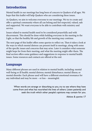### Introduction

Mental health in our meetings has long been of concern to Quakers of all ages. We hope that this leaflet will help Quakers who are considering these issues.

As Quakers, we aim to welcome everyone to our meetings. We try to create and offer a spiritual community where all can belong and feel respected, valued, safe and supported. We want everyone to be able to contribute with ministry and service.

Issues related to mental health need to be considered prayerfully and with discernment. This should be done while holding everyone in the meeting in the Light, so that the healthy life and growth of the meeting may continue.

The next page of this leaflet offers some queries to reflect on. Then it takes a look at the ways in which mental distress can present itself in meetings, along with some of the specific issues and concerns that may arise. Later it considers what someone might hope for from their meeting, and what the meeting might offer them. The final section offers some guidance and suggestions in response to mental health issues. Some resources and contacts are offered at the end.

#### Language

Many different phrases are used in relation to mental health, including: mental well-being or ill health; mental distress; mental disturbance; mental illness; or mental disorder. Each phrase used will have a different emotional resonance for any individual and may be more – or less – meaningful.

When words are strange or disturbing to you, try to see where they have come from and what has nourished the lives of others. Listen patiently and seek the truth which other people's opinions may contain for you.

*Advices & queries* 17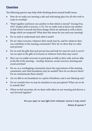### **Queries**

The following queries may help while thinking about mental health issues.

- How do we make our meeting a safe and welcoming place for all who wish to come to worship?
- "Meet together and know one another in that which is eternal" (George Fox, 1657; *Quaker faith & practice*, 2.35). Do we really seek to know one another in that which is eternal and those things which are spiritual as well as those things which are temporal? What does this mean for you and your meeting?
- Do we seek to understand each other's needs?
- Do we value everyone, whatever their needs may be, and for whatever they can contribute to the meeting community? How do we show that we value each person?
- Do we seek the gifts that each person has and look for ways for each to serve? Are we open to the gifts of everyone in whatever form they may come?
- How can we enable everyone to participate as fully as they wish, and are able, in the life of the meeting – worship, business, social concerns, learning and social activities?
- Do we, as a worshipping community, know the expectations of the meeting community, and what boundaries may be needed? How do we discern these? Do we communicate them clearly?
- Are we able to set boundaries in a spirit of kindness, and a non-blaming way?
- Do we consider how we may be mistaken in our perception? What can we do to remedy this?
- When we feel uncertain, do we share with others in our meeting and discern a way forward together?

Are you open to new light, from whatever source it may come? *Advices & queries* 7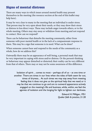# Signs of mental distress

There are many ways in which issues around mental health may present themselves in the meeting (the resource section at the end of this leaflet may help here).

It may be very clear to many in the meeting that an individual is under stress. That person may be very open about their needs, or they may show their stress or distress in less direct ways. These may include anger towards others, or to the whole meeting. Others may stay away or withdraw from meeting and not respond to contact. How can we respond?

There can be behaviour that disturbs the meeting community, either from someone with poor mental health or in the lack of a compassionate response to them. This may be a sign that someone is in need. What can be done?

When someone cannot hear and respond to the needs of the community as a whole, how do we address this?

Outwardly there may be an appearance of well-being, a personal mask that may be very important in coping with stress and/or distress. Or the person's thinking or behaviour may appear disturbed or distorted; their reality can be very different from that of others. There may or may not be some awareness of this difference.

> Isolation of spirit ... comes to most – perhaps all of us – at one time or another. There are times in our lives when the tides of faith seem far out, times of dryness... At such times we may stay away from meeting feeling that it does not give us the spiritual help that we need; or it may be that we continue to go and are to outward appearance actively engaged on the meeting's life and business, while, within, we feel the agonies of isolation and the longing for light to lighten our darkness.

> > Edward H. Milligan, 1951 *Quaker faith & practice*, 21.20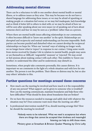# Addressing mental distress

There can be a reluctance to talk to one another about mental health or mental illness, or to address issues as they arise. This may be because we do not have a shared language for addressing these issues; or we may be afraid of upsetting or making people or a situation feel worse; or we may feel inadequate, lack knowledge and so think it better left to others to deal with; or we may be afraid of how we will be seen after speaking about our own issues (or of speaking out of turn about someone else's) and fear we may be seen as a 'problem' rather than as a person.

Where there are mental health issues affecting relationships in our community, it often becomes difficult to 'know one another' in the spirit. Relationships are disrupted and reciprocity and mutual understanding can become impossible. Both parties can become puzzled and disturbed when we cannot develop the reciprocal relationships we hope for. When our 'normal' ways of relating no longer work, we no longer know what to 'expect' in response to our contact. Using some words from stories received by Quaker Life in relation to mental health, people may seem or see themselves as 'difficult', 'ungrateful', 'unaware' or 'rejected'. We may avoid or feel anxious about making contact with each other. This inability to 'know one another', to understand the other and be understood, may disturb us.

Sometimes, when people take comments personally, this causes distress. It is important we see comments in the light of a whole situation and with love for one another. The person is not the problem. Their illness or distress may be, but so also may others' attitudes to this.

#### Further questions for meetings around these concerns

- How much can the meeting be involved and how much is it the responsibility of any one person? What support can be given to someone who is troubled? How can the meeting communicate, maintain boundaries and help those who have difficulties? What should be done about boundaries that are broken?
- Do we have the resources needed to manage and safely deal with whatever the situation may be? Does someone want more than the meeting can offer?
- Is professional intervention needed? If so, should meeting arrange this? How far should the meeting be involved?

Nobody wants to be tolerated. What we need is acceptance but where there are things that cannot be accepted then kindness and meaningful listening can help to shift those views.

Ministry given at Streatham & Brixton Quaker Meeting, by Chris Lofty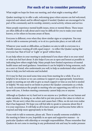### For each of us to consider personally

What might we hope for from our meeting, and what might a meeting offer?

Quaker meetings try to offer a safe, welcoming space where anyone can feel welcomed, respected and valued, and be offered support if needed. Quakers are encouraged to be part of the community and its worship, ministry, social activity, witness and service.

Many people experience mental health issues, stress or mental illness. These issues are often difficult to talk about and it may be difficult for you to make your needs known, or for others to become aware of them.

Everyone is different, even when they show similar signs or symptoms. You may wish to talk to someone privately; or to sit in a particular place; or not talk at all.

Whatever your needs or difficulties, as Quakers we aim to talk to everyone in a friendly manner, treating all with equal respect – to reflect the Quaker saying that everyone has 'that of God' or 'Light' or 'good' within them.

It can help others in your meeting to understand if you share what is on your mind or what you feel hurt about. It also helps if you are as open and honest as possible in indicating how others might help. Many people have limited experience of mental health issues and need guidance. Sometimes it can be helpful to bring someone, such as a carer or friend, who understands you well, to help us understand what could be done to help you feel welcome and included.

Or it may be that you need some time away from meeting for a while. If so, it is helpful to let us know so we can continue to support you appropriately. Sometimes people in meeting are not able to give as much support or time as you feel is needed or helpful. We may need to set limits to protect the Quaker community as a whole. In such circumstances the people in meeting who are supporting you will try to be open with you. A broken meeting community cannot help you or anyone.

Although as Quakers we try hard not to see anyone as a 'problem', we are human and make mistakes. In doing so, we often fail to put into practice the values to which we aspire. We are sorry when this occurs and causes hurt. Often, we do not even realise that it has happened. We hope you will feel able to speak to someone about this if it is your experience. It will help us all to learn and grow and become better able to respond and help more appropriately in the future.

If you wish to talk to someone, please ask. There is usually someone available in the meeting to listen to you, hopefully in an open and supportive manner – in particular Quakers with eldership or oversight responsibilities. Please remember that Quakers do not come to meeting in any professional role and may be under pressure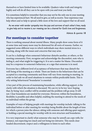themselves or have limited time to be available. Quakers value truth and integrity highly and will do all they can to be open with you and treat you fairly.

It is sometimes helpful to remember that you may not be the only one in your meeting who has experienced hurt. We all need to give, as well as receive. Your experience may help others and so help to spread a little more of the love and support that we all need.

As we enter with tender sympathy into the joys and sorrows of each other's lives, ready to give help and to receive it, our meeting can be a channel for God's love and forgiveness.

#### *Advices & queries* 18

### For meetings to consider together

There is nothing unusual about mental illness. Many people show some form of it at some time and many more may be distressed for all sorts of reasons. Earlier, we suggested some different ways in which individuals may show mental stress to a meeting, along with the issues and concerns that may arise.

It can be a challenge when someone's behaviour disturbs another, or others, or the meeting community. First, recognise and acknowledge the discomfort, note who is feeling it, and what might be triggering it. It is not a matter for blame. Discomfort may be a response to someone's behaviour, or a sign that someone is in need.

Everyone has a different level of acceptance of behaviours that may disturb the well-being of the meeting as a whole. There are limits to the behaviours that can be accepted in a meeting community and these will vary from meeting to meeting. In order to feel safe we all need situations to remain within predictable limits. This is why setting behavioural 'boundaries' is essential.

A key part of the process of maintaining boundaries, while offering support, is the clarity with which the situation is discussed. We can try to be too 'nice', hoping that, by being 'nice', conflict will be avoided and the problem will go away. It will not. Clear boundaries are needed for everyone. However, within the boundaries, flexibility is possible and often helpful, enabling the meeting to attend to the needs of an individual within the group.

Examples of ways of helping people with meetings for worship include: talking to the individual before or after meeting for worship; being flexible about the length of time for which a person joins the silence; sitting with someone and offering quiet support; or holding a special meeting for worship with its own structure and boundaries.

It is very important to clarify what someone who may be unwell can cope with; for instance, not expecting too much and not being too intrusive. This needs clearheaded discernment, respect and a willingness to listen to each other.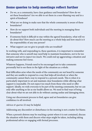## Some queries to help meetings reflect further

- Do we, as a community, have clear guidance and boundaries? How do we set these boundaries? Are we able to set them in a non-blaming way and in a spirit of kindness?
- What are we doing to make sure that the whole community is aware of these boundaries?
- How do we support both individuals and the meeting in managing these boundaries?
- If someone finds it difficult to stay within the agreed boundaries, what will we do about this? How much can the meeting as a whole help and how much is it the responsibility of any one person?
- What support can we give to people who are troubled?

In working with, and responding to, these questions, it is important to remember that someone who is unwell may need help to maintain boundaries, not to be too intrusive and not to expect too much. We could end up aggravating a situation and making someone feel worse.

Whatever happens, Friends need to be encouraged not to take comments personally but to see them in the light of the situation as a whole.

Real difficulties arise when the needs of the community are not heard by someone and they are unable to respond in a way that helps all involved; or when the community cannot find a way to respond to a person's needs. This is when it is particularly important to set and maintain clear boundaries while offering what support is reasonable. Do not expect too much from those who need or offer support. Ideally, we wish everyone to be part of the meeting community, but we can only offer anything so far as our health allows us. We need to find ways of being clear about what we are not able to do without causing undue and damaging stress.

Using our discernment process to find, agree and set boundaries can give confidence to all involved.

*Advices & queries* 22 may be helpful.

Addressing any discomfort or disturbance in the meeting is not a matter for blame.

When a person's distress may be reaching a point where it is not contained, discuss the situation with them and discern what steps might be taken, including taking professional advice or engaging with formal processes.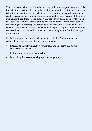Where someone withdraws from the meeting, or does not respond to contact, it is important to reflect on what might be causing this situation. Is it because someone is finding the meeting difficult to be in because of another person's behaviour, or is it because someone is finding the meeting difficult to be in because of their own mental health condition? If you suspect that the person might be ill, try to remain in touch with them but without putting pressure on them to meet, come back to the meeting or do anything that might be too burdensome for them. Show that you are concerned and care but that you do not expect a response. Remember that even sending a card saying that someone is being thought of or 'held in the Light' can mean a lot.

In offering support, our role is to help, not to try to 'fix'. A solution may not actually be what is needed. Offering support involves:

- listening attentively without preconceptions and in a spirit that allows another's voice to be heard
- • building and maintaining connections
- being alongside, accompanying a person (or group).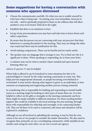## Some suggestions for having a conversation with someone who appears distressed

- Choose the communicator carefully. Do what you can to enable yourself to truly hear what is being said – by putting your own immediate concerns to one side – and be spiritually prepared to listen in the stillness that will allow another's voice to be heard. Hold all in the Light.
- Establish that there is no intention to hurt.
- Let go of any preconceptions you may have and take time to learn about each other's experience.
- Be aware that the person you are conversing with may not perceive that their behaviour is causing discomfort to the meeting. They may see things the other way round and there may be justification for this.
- Avoid making comparisons. These can be hurtful and are rarely useful.
- The speaker may use language that is strange to you. Try to find out why it is significant to them. When speaking or responding, do so from your heart.
- A solution may not be what is needed. Open-minded and open-hearted listening often are.

#### *Advices & queries* 17 may be helpful.

When help is offered it can be beneficial in some situations for this to be acknowledged or 'owned' by the wider meeting community in some way. This helps prevent inappropriate demands, or people becoming overwhelmed or overloaded. It may involve sharing what support is given to an individual, or how someone accompanying and supporting another person is being sustained.

In considering who is responsible for holding and responding to mental health issues in a meeting, begin by looking at what types of issues there are. It is also helpful to reflect on the gifts or strengths in the meeting community and how these might be made available in different situations. For those needing further support, this could be available in the local meeting, the area meeting, through those with responsibility for eldership and oversight, or by contacting Quaker Life. They are all there to be used or contacted, and issues and situations will be explored in confidence.

Although we are all involved in upholding the meeting, it may be that the wise course is for one or two people to consider the matter themselves. We also need to recognise that, primarily, we are a worshipping community; while mindful of one another and caring for each other, we are not a social care agency.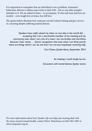It is important to remember that an individual is not a problem. Someone's behaviour, distress or illness may tricky to deal with – but so can other people's attitudes to it. We are asked to listen – to accompany. To this end trust and love are needed – even tough love at times, but still love.

The quotes below illustrate how someone can feel valued, belong and give service in a meeting despite suffering mental distress.

Quakers have really valued me when no one else in the world did … accepting that I am a worthwhile member of my meeting and my community even when I am a bit of a mess. I am not broken and worthless because I hear voices … there's recognition that even when I am fairly poorly there are things which I can do and that I am not just hopelessly receiving help.

Ceri Owen, *Quaker Voices*, September 2014

At meeting I could simply be me.

*Encounters with mental distress: Quaker stories*

*For more information about how Quaker Life can help your meeting deal with the issues around mental health, contact Oliver Waterhouse on 020 7663 1007 or oliverw@quaker.org.uk.*